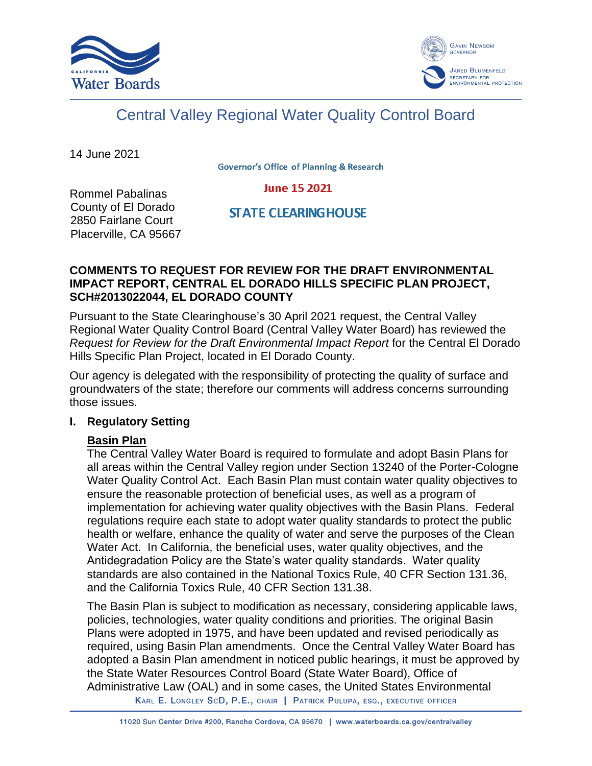



# Central Valley Regional Water Quality Control Board

14 June 2021

**Governor's Office of Planning & Research** 

#### **June 15 2021**

Rommel Pabalinas County of El Dorado 2850 Fairlane Court Placerville, CA 95667

# **STATE CLEARING HOUSE**

# **COMMENTS TO REQUEST FOR REVIEW FOR THE DRAFT ENVIRONMENTAL IMPACT REPORT, CENTRAL EL DORADO HILLS SPECIFIC PLAN PROJECT, SCH#2013022044, EL DORADO COUNTY**

Pursuant to the State Clearinghouse's 30 April 2021 request, the Central Valley Regional Water Quality Control Board (Central Valley Water Board) has reviewed the *Request for Review for the Draft Environmental Impact Report* for the Central El Dorado Hills Specific Plan Project, located in El Dorado County.

Our agency is delegated with the responsibility of protecting the quality of surface and groundwaters of the state; therefore our comments will address concerns surrounding those issues.

# **I. Regulatory Setting**

#### **Basin Plan**

The Central Valley Water Board is required to formulate and adopt Basin Plans for all areas within the Central Valley region under Section 13240 of the Porter-Cologne Water Quality Control Act. Each Basin Plan must contain water quality objectives to ensure the reasonable protection of beneficial uses, as well as a program of implementation for achieving water quality objectives with the Basin Plans. Federal regulations require each state to adopt water quality standards to protect the public health or welfare, enhance the quality of water and serve the purposes of the Clean Water Act. In California, the beneficial uses, water quality objectives, and the Antidegradation Policy are the State's water quality standards. Water quality standards are also contained in the National Toxics Rule, 40 CFR Section 131.36, and the California Toxics Rule, 40 CFR Section 131.38.

The Basin Plan is subject to modification as necessary, considering applicable laws, policies, technologies, water quality conditions and priorities. The original Basin Plans were adopted in 1975, and have been updated and revised periodically as required, using Basin Plan amendments. Once the Central Valley Water Board has adopted a Basin Plan amendment in noticed public hearings, it must be approved by the State Water Resources Control Board (State Water Board), Office of Administrative Law (OAL) and in some cases, the United States Environmental

KARL E. LONGLEY SCD, P.E., CHAIR | PATRICK PULUPA, ESQ., EXECUTIVE OFFICER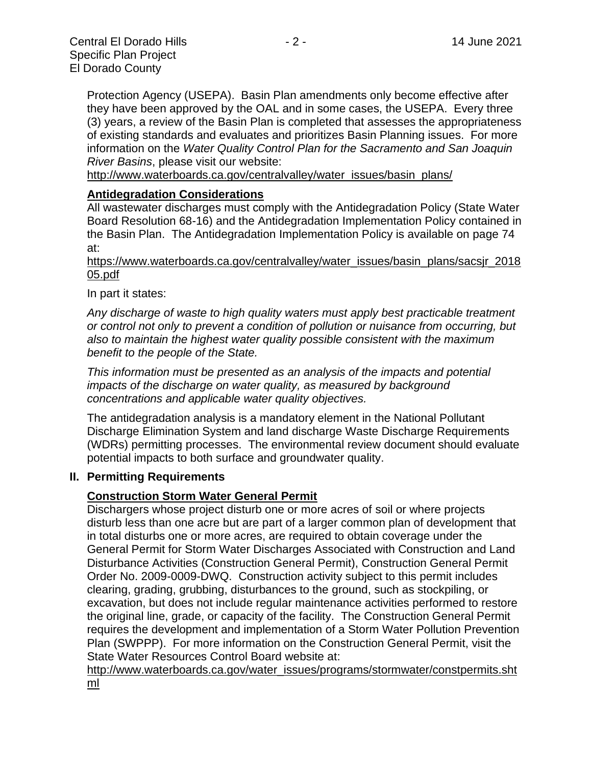Protection Agency (USEPA). Basin Plan amendments only become effective after they have been approved by the OAL and in some cases, the USEPA. Every three (3) years, a review of the Basin Plan is completed that assesses the appropriateness of existing standards and evaluates and prioritizes Basin Planning issues. For more information on the *Water Quality Control Plan for the Sacramento and San Joaquin* 

*River Basins*, please visit our website:

[http://www.waterboards.ca.gov/centralvalley/water\\_issues/basin\\_plans/](http://www.waterboards.ca.gov/centralvalley/water_issues/basin_plans/)

#### **Antidegradation Considerations**

All wastewater discharges must comply with the Antidegradation Policy (State Water Board Resolution 68-16) and the Antidegradation Implementation Policy contained in the Basin Plan. The Antidegradation Implementation Policy is available on page 74 at:

https://www.waterboards.ca.gov/centralvalley/water\_issues/basin\_plans/sacsjr\_2018 05.pdf

In part it states:

*Any discharge of waste to high quality waters must apply best practicable treatment or control not only to prevent a condition of pollution or nuisance from occurring, but also to maintain the highest water quality possible consistent with the maximum benefit to the people of the State.*

*This information must be presented as an analysis of the impacts and potential impacts of the discharge on water quality, as measured by background concentrations and applicable water quality objectives.*

The antidegradation analysis is a mandatory element in the National Pollutant Discharge Elimination System and land discharge Waste Discharge Requirements (WDRs) permitting processes. The environmental review document should evaluate potential impacts to both surface and groundwater quality.

#### **II. Permitting Requirements**

#### **Construction Storm Water General Permit**

Dischargers whose project disturb one or more acres of soil or where projects disturb less than one acre but are part of a larger common plan of development that in total disturbs one or more acres, are required to obtain coverage under the General Permit for Storm Water Discharges Associated with Construction and Land Disturbance Activities (Construction General Permit), Construction General Permit Order No. 2009-0009-DWQ. Construction activity subject to this permit includes clearing, grading, grubbing, disturbances to the ground, such as stockpiling, or excavation, but does not include regular maintenance activities performed to restore the original line, grade, or capacity of the facility. The Construction General Permit requires the development and implementation of a Storm Water Pollution Prevention Plan (SWPPP). For more information on the Construction General Permit, visit the State Water Resources Control Board website at:

[http://www.waterboards.ca.gov/water\\_issues/programs/stormwater/constpermits.sht](http://www.waterboards.ca.gov/water_issues/programs/stormwater/constpermits.shtml) [ml](http://www.waterboards.ca.gov/water_issues/programs/stormwater/constpermits.shtml)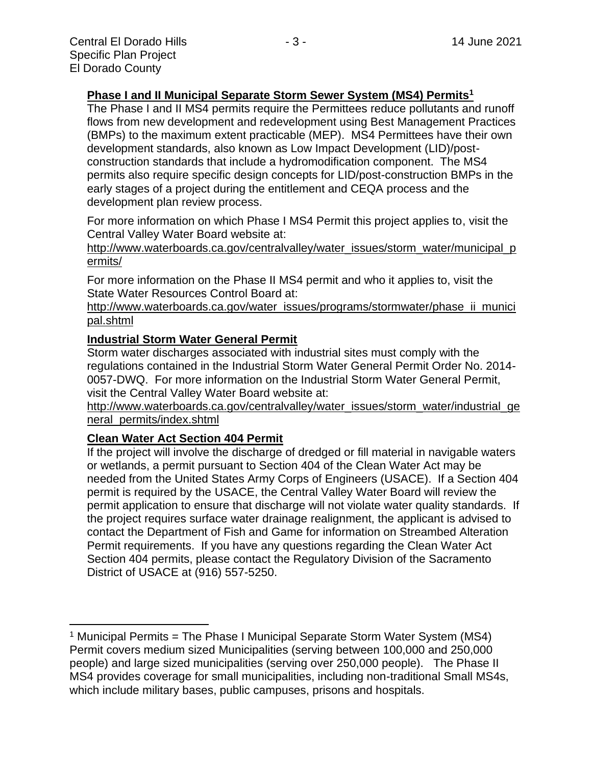### **Phase I and II Municipal Separate Storm Sewer System (MS4) Permits<sup>1</sup>**

The Phase I and II MS4 permits require the Permittees reduce pollutants and runoff flows from new development and redevelopment using Best Management Practices (BMPs) to the maximum extent practicable (MEP). MS4 Permittees have their own development standards, also known as Low Impact Development (LID)/postconstruction standards that include a hydromodification component. The MS4 permits also require specific design concepts for LID/post-construction BMPs in the early stages of a project during the entitlement and CEQA process and the development plan review process.

For more information on which Phase I MS4 Permit this project applies to, visit the Central Valley Water Board website at:

http://www.waterboards.ca.gov/centralvalley/water\_issues/storm\_water/municipal\_p ermits/

For more information on the Phase II MS4 permit and who it applies to, visit the State Water Resources Control Board at:

http://www.waterboards.ca.gov/water\_issues/programs/stormwater/phase\_ii\_munici pal.shtml

#### **Industrial Storm Water General Permit**

Storm water discharges associated with industrial sites must comply with the regulations contained in the Industrial Storm Water General Permit Order No. 2014- 0057-DWQ. For more information on the Industrial Storm Water General Permit, visit the Central Valley Water Board website at:

http://www.waterboards.ca.gov/centralvalley/water\_issues/storm\_water/industrial\_ge neral\_permits/index.shtml

#### **Clean Water Act Section 404 Permit**

If the project will involve the discharge of dredged or fill material in navigable waters or wetlands, a permit pursuant to Section 404 of the Clean Water Act may be needed from the United States Army Corps of Engineers (USACE). If a Section 404 permit is required by the USACE, the Central Valley Water Board will review the permit application to ensure that discharge will not violate water quality standards. If the project requires surface water drainage realignment, the applicant is advised to contact the Department of Fish and Game for information on Streambed Alteration Permit requirements. If you have any questions regarding the Clean Water Act Section 404 permits, please contact the Regulatory Division of the Sacramento District of USACE at (916) 557-5250.

<sup>&</sup>lt;sup>1</sup> Municipal Permits = The Phase I Municipal Separate Storm Water System (MS4) Permit covers medium sized Municipalities (serving between 100,000 and 250,000 people) and large sized municipalities (serving over 250,000 people). The Phase II MS4 provides coverage for small municipalities, including non-traditional Small MS4s, which include military bases, public campuses, prisons and hospitals.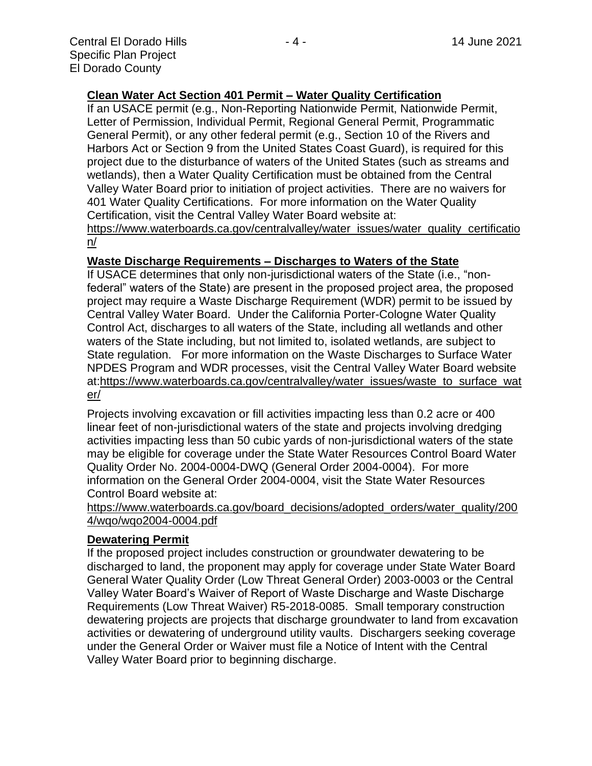# **Clean Water Act Section 401 Permit – Water Quality Certification**

If an USACE permit (e.g., Non-Reporting Nationwide Permit, Nationwide Permit, Letter of Permission, Individual Permit, Regional General Permit, Programmatic General Permit), or any other federal permit (e.g., Section 10 of the Rivers and Harbors Act or Section 9 from the United States Coast Guard), is required for this project due to the disturbance of waters of the United States (such as streams and wetlands), then a Water Quality Certification must be obtained from the Central Valley Water Board prior to initiation of project activities. There are no waivers for 401 Water Quality Certifications. For more information on the Water Quality Certification, visit the Central Valley Water Board website at:

https://www.waterboards.ca.gov/centralvalley/water\_issues/water\_quality\_certificatio n/

#### **Waste Discharge Requirements – Discharges to Waters of the State**

If USACE determines that only non-jurisdictional waters of the State (i.e., "nonfederal" waters of the State) are present in the proposed project area, the proposed project may require a Waste Discharge Requirement (WDR) permit to be issued by Central Valley Water Board. Under the California Porter-Cologne Water Quality Control Act, discharges to all waters of the State, including all wetlands and other waters of the State including, but not limited to, isolated wetlands, are subject to State regulation. For more information on the Waste Discharges to Surface Water NPDES Program and WDR processes, visit the Central Valley Water Board website at:https://www.waterboards.ca.gov/centralvalley/water\_issues/waste\_to\_surface\_wat er/

Projects involving excavation or fill activities impacting less than 0.2 acre or 400 linear feet of non-jurisdictional waters of the state and projects involving dredging activities impacting less than 50 cubic yards of non-jurisdictional waters of the state may be eligible for coverage under the State Water Resources Control Board Water Quality Order No. 2004-0004-DWQ (General Order 2004-0004). For more information on the General Order 2004-0004, visit the State Water Resources Control Board website at:

https://www.waterboards.ca.gov/board\_decisions/adopted\_orders/water\_quality/200 4/wqo/wqo2004-0004.pdf

# **Dewatering Permit**

If the proposed project includes construction or groundwater dewatering to be discharged to land, the proponent may apply for coverage under State Water Board General Water Quality Order (Low Threat General Order) 2003-0003 or the Central Valley Water Board's Waiver of Report of Waste Discharge and Waste Discharge Requirements (Low Threat Waiver) R5-2018-0085. Small temporary construction dewatering projects are projects that discharge groundwater to land from excavation activities or dewatering of underground utility vaults. Dischargers seeking coverage under the General Order or Waiver must file a Notice of Intent with the Central Valley Water Board prior to beginning discharge.